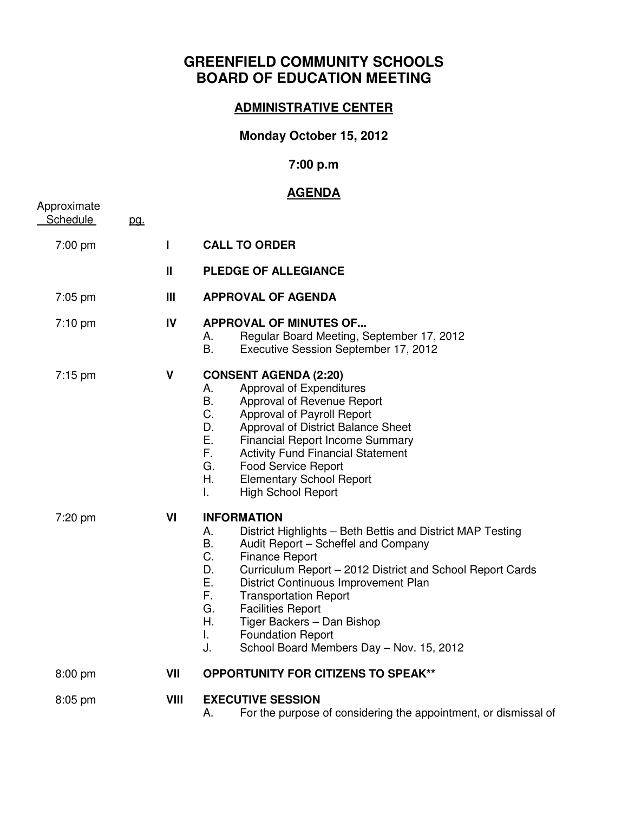# **GREENFIELD COMMUNITY SCHOOLS BOARD OF EDUCATION MEETING**

### **ADMINISTRATIVE CENTER**

## **Monday October 15, 2012**

### **7:00 p.m**

### **AGENDA**

| Approximate<br><b>Schedule</b> | pg. |              |                                                                                                                                                                                                                                                                                                                                                                                                                                                                                     |
|--------------------------------|-----|--------------|-------------------------------------------------------------------------------------------------------------------------------------------------------------------------------------------------------------------------------------------------------------------------------------------------------------------------------------------------------------------------------------------------------------------------------------------------------------------------------------|
| 7:00 pm                        |     | $\mathbf{I}$ | <b>CALL TO ORDER</b>                                                                                                                                                                                                                                                                                                                                                                                                                                                                |
|                                |     | $\mathbf{I}$ | <b>PLEDGE OF ALLEGIANCE</b>                                                                                                                                                                                                                                                                                                                                                                                                                                                         |
| 7:05 pm                        |     | III          | <b>APPROVAL OF AGENDA</b>                                                                                                                                                                                                                                                                                                                                                                                                                                                           |
| $7:10$ pm                      |     | IV           | <b>APPROVAL OF MINUTES OF</b><br>Regular Board Meeting, September 17, 2012<br>А.<br><b>B.</b><br>Executive Session September 17, 2012                                                                                                                                                                                                                                                                                                                                               |
| 7:15 pm                        |     | V            | <b>CONSENT AGENDA (2:20)</b><br>Approval of Expenditures<br>А.<br>В.<br>Approval of Revenue Report<br>C.<br>Approval of Payroll Report<br>Approval of District Balance Sheet<br>D.<br>Ε.<br><b>Financial Report Income Summary</b><br>F.<br><b>Activity Fund Financial Statement</b><br>G.<br>Food Service Report<br>Η.<br><b>Elementary School Report</b><br>L.<br><b>High School Report</b>                                                                                       |
| 7:20 pm                        |     | VI           | <b>INFORMATION</b><br>District Highlights - Beth Bettis and District MAP Testing<br>А.<br>B.<br>Audit Report - Scheffel and Company<br>C.<br><b>Finance Report</b><br>D.<br>Curriculum Report - 2012 District and School Report Cards<br>Ε.<br>District Continuous Improvement Plan<br>F.<br><b>Transportation Report</b><br>G.<br><b>Facilities Report</b><br>Η.<br>Tiger Backers - Dan Bishop<br><b>Foundation Report</b><br>L.<br>School Board Members Day - Nov. 15, 2012<br>J. |
| 8:00 pm                        |     | VII          | <b>OPPORTUNITY FOR CITIZENS TO SPEAK**</b>                                                                                                                                                                                                                                                                                                                                                                                                                                          |
| 8:05 pm                        |     | VIII         | <b>EXECUTIVE SESSION</b><br>For the purpose of considering the appointment, or dismissal of<br>Α.                                                                                                                                                                                                                                                                                                                                                                                   |